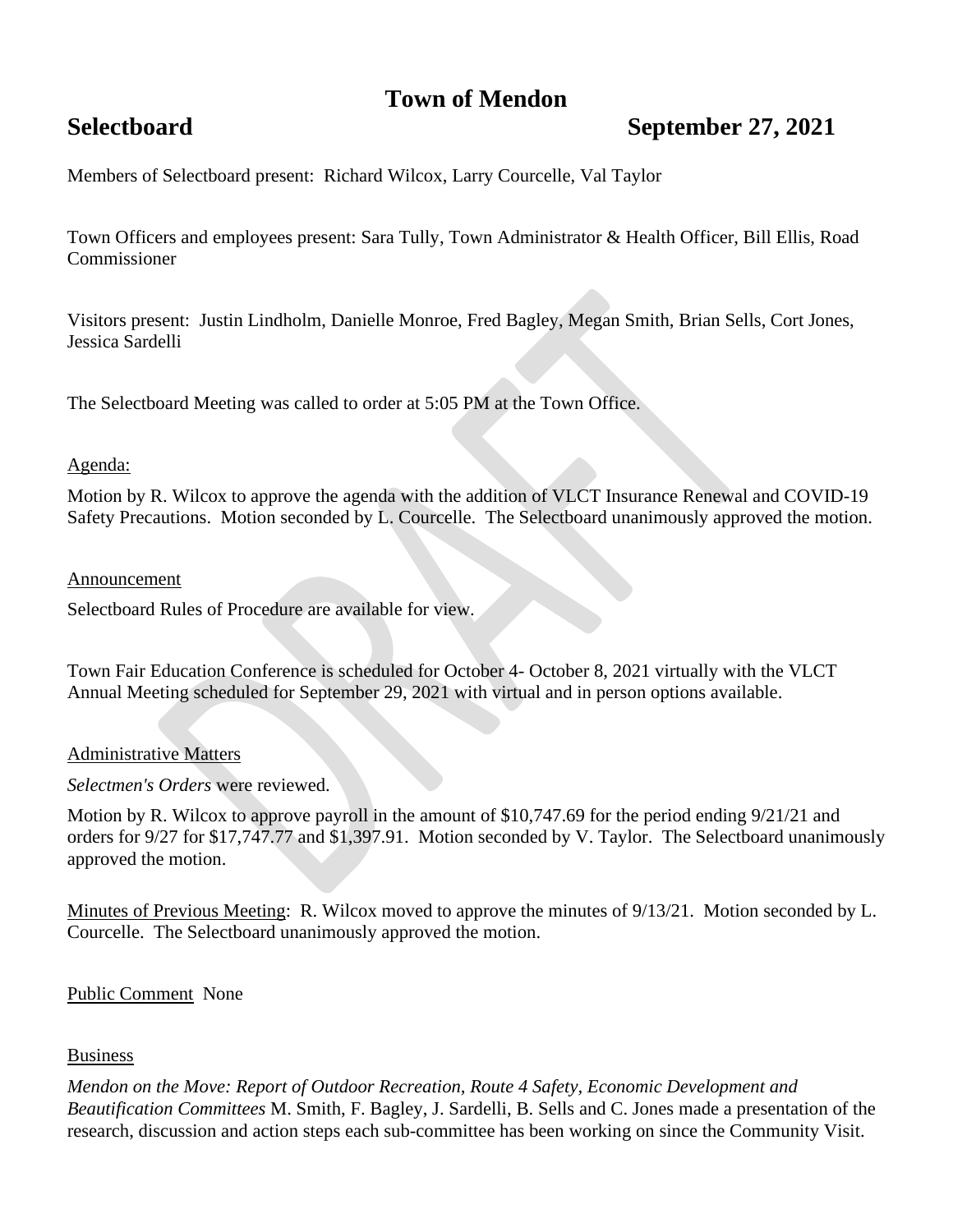# **Town of Mendon**

# **Selectboard September 27, 2021**

Members of Selectboard present: Richard Wilcox, Larry Courcelle, Val Taylor

Town Officers and employees present: Sara Tully, Town Administrator & Health Officer, Bill Ellis, Road Commissioner

Visitors present: Justin Lindholm, Danielle Monroe, Fred Bagley, Megan Smith, Brian Sells, Cort Jones, Jessica Sardelli

The Selectboard Meeting was called to order at 5:05 PM at the Town Office.

# Agenda:

Motion by R. Wilcox to approve the agenda with the addition of VLCT Insurance Renewal and COVID-19 Safety Precautions. Motion seconded by L. Courcelle. The Selectboard unanimously approved the motion.

### Announcement

Selectboard Rules of Procedure are available for view.

Town Fair Education Conference is scheduled for October 4- October 8, 2021 virtually with the VLCT Annual Meeting scheduled for September 29, 2021 with virtual and in person options available.

# Administrative Matters

#### *Selectmen's Orders* were reviewed.

Motion by R. Wilcox to approve payroll in the amount of \$10,747.69 for the period ending 9/21/21 and orders for 9/27 for \$17,747.77 and \$1,397.91. Motion seconded by V. Taylor. The Selectboard unanimously approved the motion.

Minutes of Previous Meeting: R. Wilcox moved to approve the minutes of 9/13/21. Motion seconded by L. Courcelle. The Selectboard unanimously approved the motion.

# Public Comment None

# Business

*Mendon on the Move: Report of Outdoor Recreation, Route 4 Safety, Economic Development and Beautification Committees* M. Smith, F. Bagley, J. Sardelli, B. Sells and C. Jones made a presentation of the research, discussion and action steps each sub-committee has been working on since the Community Visit.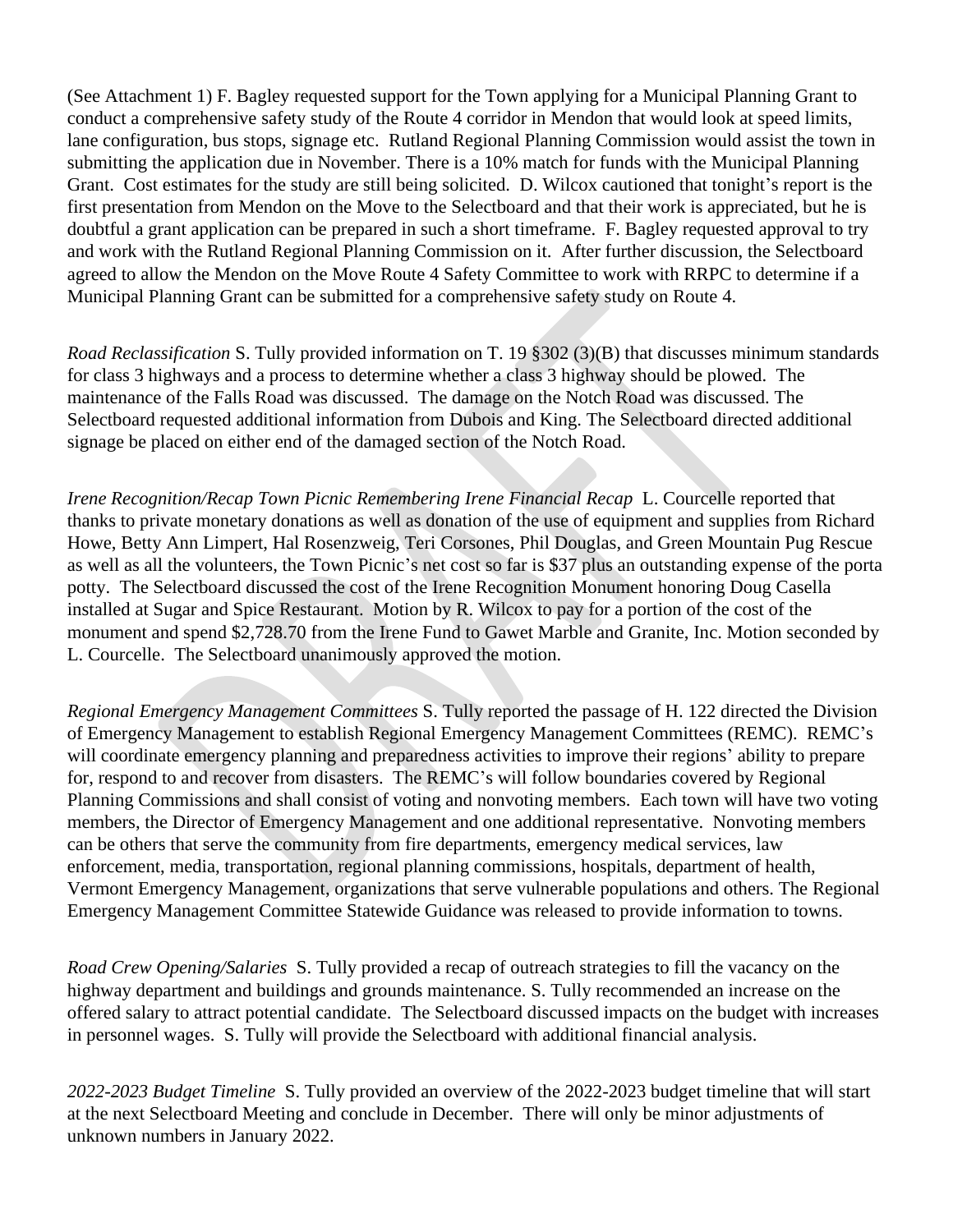(See Attachment 1) F. Bagley requested support for the Town applying for a Municipal Planning Grant to conduct a comprehensive safety study of the Route 4 corridor in Mendon that would look at speed limits, lane configuration, bus stops, signage etc. Rutland Regional Planning Commission would assist the town in submitting the application due in November. There is a 10% match for funds with the Municipal Planning Grant. Cost estimates for the study are still being solicited. D. Wilcox cautioned that tonight's report is the first presentation from Mendon on the Move to the Selectboard and that their work is appreciated, but he is doubtful a grant application can be prepared in such a short timeframe. F. Bagley requested approval to try and work with the Rutland Regional Planning Commission on it. After further discussion, the Selectboard agreed to allow the Mendon on the Move Route 4 Safety Committee to work with RRPC to determine if a Municipal Planning Grant can be submitted for a comprehensive safety study on Route 4.

*Road Reclassification* S. Tully provided information on T. 19 §302 (3)(B) that discusses minimum standards for class 3 highways and a process to determine whether a class 3 highway should be plowed. The maintenance of the Falls Road was discussed. The damage on the Notch Road was discussed. The Selectboard requested additional information from Dubois and King. The Selectboard directed additional signage be placed on either end of the damaged section of the Notch Road.

*Irene Recognition/Recap Town Picnic Remembering Irene Financial Recap* L. Courcelle reported that thanks to private monetary donations as well as donation of the use of equipment and supplies from Richard Howe, Betty Ann Limpert, Hal Rosenzweig, Teri Corsones, Phil Douglas, and Green Mountain Pug Rescue as well as all the volunteers, the Town Picnic's net cost so far is \$37 plus an outstanding expense of the porta potty. The Selectboard discussed the cost of the Irene Recognition Monument honoring Doug Casella installed at Sugar and Spice Restaurant. Motion by R. Wilcox to pay for a portion of the cost of the monument and spend \$2,728.70 from the Irene Fund to Gawet Marble and Granite, Inc. Motion seconded by L. Courcelle. The Selectboard unanimously approved the motion.

*Regional Emergency Management Committees* S. Tully reported the passage of H. 122 directed the Division of Emergency Management to establish Regional Emergency Management Committees (REMC). REMC's will coordinate emergency planning and preparedness activities to improve their regions' ability to prepare for, respond to and recover from disasters. The REMC's will follow boundaries covered by Regional Planning Commissions and shall consist of voting and nonvoting members. Each town will have two voting members, the Director of Emergency Management and one additional representative. Nonvoting members can be others that serve the community from fire departments, emergency medical services, law enforcement, media, transportation, regional planning commissions, hospitals, department of health, Vermont Emergency Management, organizations that serve vulnerable populations and others. The Regional Emergency Management Committee Statewide Guidance was released to provide information to towns.

*Road Crew Opening/Salaries* S. Tully provided a recap of outreach strategies to fill the vacancy on the highway department and buildings and grounds maintenance. S. Tully recommended an increase on the offered salary to attract potential candidate. The Selectboard discussed impacts on the budget with increases in personnel wages. S. Tully will provide the Selectboard with additional financial analysis.

*2022-2023 Budget Timeline* S. Tully provided an overview of the 2022-2023 budget timeline that will start at the next Selectboard Meeting and conclude in December. There will only be minor adjustments of unknown numbers in January 2022.